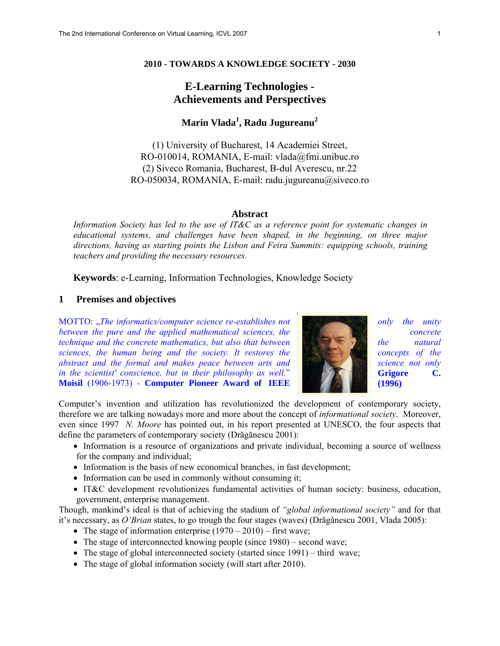## **2010 - TOWARDS A KNOWLEDGE SOCIETY - 2030**

# **E-Learning Technologies - Achievements and Perspectives**

# **Marin Vlada<sup>1</sup> , Radu Jugureanu<sup>2</sup>**

(1) University of Bucharest, 14 Academiei Street, RO-010014, ROMANIA, E-mail: vlada@fmi.unibuc.ro (2) Siveco Romania, Bucharest, B-dul Averescu, nr.22 RO-050034, ROMANIA, E-mail: radu.jugureanu@siveco.ro

#### **Abstract**

*Information Society has led to the use of IT&C as a reference point for systematic changes in educational systems, and challenges have been shaped, in the beginning, on three major directions, having as starting points the Lisbon and Feira Summits: equipping schools, training teachers and providing the necessary resources.* 

 **Keywords**: e-Learning, Information Technologies, Knowledge Society

### **1 Premises and objectives**

MOTTO: *The informatics/computer science re-establishes not notified the unity only the unity notified the unity*  $\frac{1}{2}$  *notified the unity*  $\frac{1}{2}$  *notified the unity*  $\frac{1}{2}$  *notified the unity*  $\frac{1}{2$ *between the pure and the applied mathematical sciences, the* **concrete** *concrete technique and the concrete mathematics, but also that between* the *natural intervalue and the natural sciences, the human being and the society. It restores the second concepts of the abstract and the formal and makes peace between arts and* **state of the science not only** *science not only in the scientist' conscience, but in their philosophy as well.*" **Grigore Grigore C. Moisil** (1906-1973) - **Computer Pioneer Award of IEEE** (1996)



Computer's invention and utilization has revolutionized the development of contemporary society, therefore we are talking nowadays more and more about the concept of *informational society*. Moreover, even since 1997 *N. Moore* has pointed out, in his report presented at UNESCO, the four aspects that define the parameters of contemporary society (Drăgănescu 2001):

- Information is a resource of organizations and private individual, becoming a source of wellness for the company and individual;
- Information is the basis of new economical branches, in fast development;
- Information can be used in commonly without consuming it;
- IT&C development revolutionizes fundamental activities of human society: business, education, government, enterprise management.

Though, mankind's ideal is that of achieving the stadium of *"global informational society"* and for that it's necessary, as *O'Brian* states, to go trough the four stages (waves) (Drăgănescu 2001, Vlada 2005):

- The stage of information enterprise  $(1970 2010)$  first wave;
- The stage of interconnected knowing people (since 1980) second wave;
- The stage of global interconnected society (started since 1991) third wave;
- The stage of global information society (will start after 2010).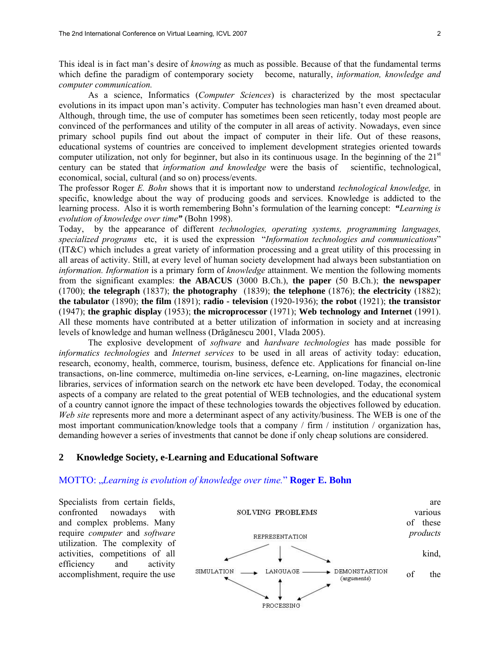This ideal is in fact man's desire of *knowing* as much as possible. Because of that the fundamental terms which define the paradigm of contemporary society become, naturally, *information, knowledge and computer communication.* 

 As a science, Informatics (*Computer Sciences*) is characterized by the most spectacular evolutions in its impact upon man's activity. Computer has technologies man hasn't even dreamed about. Although, through time, the use of computer has sometimes been seen reticently, today most people are convinced of the performances and utility of the computer in all areas of activity. Nowadays, even since primary school pupils find out about the impact of computer in their life. Out of these reasons, educational systems of countries are conceived to implement development strategies oriented towards computer utilization, not only for beginner, but also in its continuous usage. In the beginning of the  $21<sup>st</sup>$ century can be stated that *information and knowledge* were the basis of scientific, technological, economical, social, cultural (and so on) process/events.

The professor Roger *E. Bohn* shows that it is important now to understand *technological knowledge,* in specific, knowledge about the way of producing goods and services. Knowledge is addicted to the learning process. Also it is worth remembering Bohn's formulation of the learning concept: *"Learning is evolution of knowledge over time"* (Bohn 1998).

Today, by the appearance of different *technologies, operating systems, programming languages, specialized programs* etc, it is used the expression "*Information technologies and communications*" (IT&C) which includes a great variety of information processing and a great utility of this processing in all areas of activity. Still, at every level of human society development had always been substantiation on *information. Information* is a primary form of *knowledge* attainment. We mention the following moments from the significant examples: **the ABACUS** (3000 B.Ch.), **the paper** (50 B.Ch.); **the newspaper** (1700); **the telegraph** (1837); **the photography** (1839); **the telephone** (1876); **the electricity** (1882); **the tabulator** (1890); **the film** (1891); **radio - television** (1920-1936); **the robot** (1921); **the transistor**  (1947); **the graphic display** (1953); **the microprocessor** (1971); **Web technology and Internet** (1991). All these moments have contributed at a better utilization of information in society and at increasing levels of knowledge and human wellness (Drăgănescu 2001, Vlada 2005).

 The explosive development of *software* and *hardware technologies* has made possible for *informatics technologies* and *Internet services* to be used in all areas of activity today: education, research, economy, health, commerce, tourism, business, defence etc. Applications for financial on-line transactions, on-line commerce, multimedia on-line services, e-Learning, on-line magazines, electronic libraries, services of information search on the network etc have been developed. Today, the economical aspects of a company are related to the great potential of WEB technologies, and the educational system of a country cannot ignore the impact of these technologies towards the objectives followed by education. *Web site* represents more and more a determinant aspect of any activity/business. The WEB is one of the most important communication/knowledge tools that a company / firm / institution / organization has, demanding however a series of investments that cannot be done if only cheap solutions are considered.

### **2 Knowledge Society, e-Learning and Educational Software**

#### MOTTO: "Learning is evolution of knowledge over time." **Roger E. Bohn**

utilization. The complexity of efficiency and activity

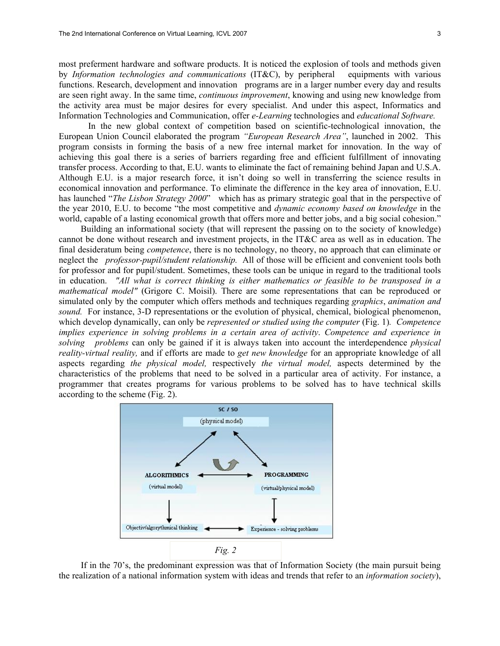most preferment hardware and software products. It is noticed the explosion of tools and methods given by *Information technologies and communications* (IT&C), by peripheral equipments with various functions. Research, development and innovation programs are in a larger number every day and results are seen right away. In the same time, *continuous improvement*, knowing and using new knowledge from the activity area must be major desires for every specialist. And under this aspect, Informatics and Information Technologies and Communication, offer *e-Learning* technologies and *educational Software.* 

In the new global context of competition based on scientific-technological innovation, the European Union Council elaborated the program *"European Research Area"*, launched in 2002. This program consists in forming the basis of a new free internal market for innovation. In the way of achieving this goal there is a series of barriers regarding free and efficient fulfillment of innovating transfer process. According to that, E.U. wants to eliminate the fact of remaining behind Japan and U.S.A. Although E.U. is a major research force, it isn't doing so well in transferring the science results in economical innovation and performance. To eliminate the difference in the key area of innovation, E.U. has launched "*The Lisbon Strategy 2000*" which has as primary strategic goal that in the perspective of the year 2010, E.U. to become "the most competitive and *dynamic economy based on knowledge* in the world, capable of a lasting economical growth that offers more and better jobs, and a big social cohesion."

Building an informational society (that will represent the passing on to the society of knowledge) cannot be done without research and investment projects, in the IT&C area as well as in education. The final desideratum being *competence*, there is no technology, no theory, no approach that can eliminate or neglect the *professor-pupil/student relationship.* All of those will be efficient and convenient tools both for professor and for pupil/student. Sometimes, these tools can be unique in regard to the traditional tools in education. *"All what is correct thinking is either mathematics or feasible to be transposed in a mathematical model"* (Grigore C. Moisil). There are some representations that can be reproduced or simulated only by the computer which offers methods and techniques regarding *graphics*, *animation and sound.* For instance, 3-D representations or the evolution of physical, chemical, biological phenomenon, which develop dynamically, can only be *represented or studied using the computer* (Fig. 1). Competence *implies experience in solving problems in a certain area of activity*. *Competence and experience in solving problems* can only be gained if it is always taken into account the interdependence *physical reality-virtual reality,* and if efforts are made to *get new knowledge* for an appropriate knowledge of all aspects regarding *the physical model,* respectively *the virtual model,* aspects determined by the characteristics of the problems that need to be solved in a particular area of activity. For instance, a programmer that creates programs for various problems to be solved has to have technical skills according to the scheme (Fig. 2).



If in the 70's, the predominant expression was that of Information Society (the main pursuit being the realization of a national information system with ideas and trends that refer to an *information society*),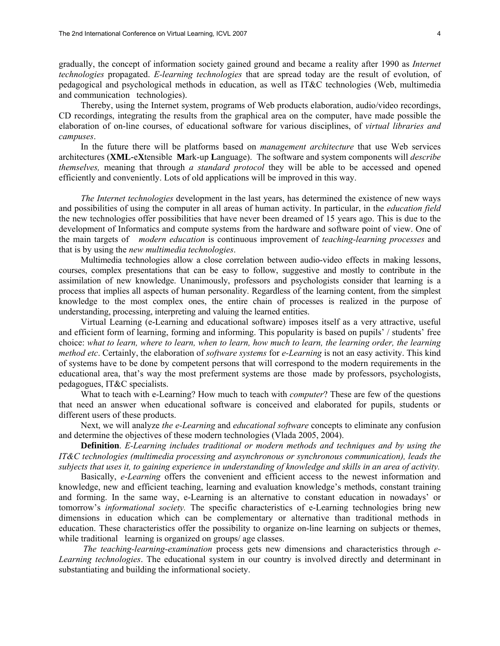gradually, the concept of information society gained ground and became a reality after 1990 as *Internet technologies* propagated. *E-learning technologies* that are spread today are the result of evolution, of pedagogical and psychological methods in education, as well as IT&C technologies (Web, multimedia and communication technologies).

Thereby, using the Internet system, programs of Web products elaboration, audio/video recordings, CD recordings, integrating the results from the graphical area on the computer, have made possible the elaboration of on-line courses, of educational software for various disciplines, of *virtual libraries and campuses*.

In the future there will be platforms based on *management architecture* that use Web services architectures (**XML-**e**X**tensible **M**ark-up **L**anguage). The software and system components will *describe themselves,* meaning that through *a standard protocol* they will be able to be accessed and opened efficiently and conveniently. Lots of old applications will be improved in this way.

*The Internet technologies* development in the last years, has determined the existence of new ways and possibilities of using the computer in all areas of human activity. In particular, in the *education field*  the new technologies offer possibilities that have never been dreamed of 15 years ago. This is due to the development of Informatics and compute systems from the hardware and software point of view. One of the main targets of *modern education* is continuous improvement of *teaching-learning processes* and that is by using the *new multimedia technologies*.

Multimedia technologies allow a close correlation between audio-video effects in making lessons, courses, complex presentations that can be easy to follow, suggestive and mostly to contribute in the assimilation of new knowledge. Unanimously, professors and psychologists consider that learning is a process that implies all aspects of human personality. Regardless of the learning content, from the simplest knowledge to the most complex ones, the entire chain of processes is realized in the purpose of understanding, processing, interpreting and valuing the learned entities.

Virtual Learning (e-Learning and educational software) imposes itself as a very attractive, useful and efficient form of learning, forming and informing. This popularity is based on pupils' / students' free choice: *what to learn, where to learn, when to learn, how much to learn, the learning order, the learning method etc*. Certainly, the elaboration of *software systems* for *e-Learning* is not an easy activity. This kind of systems have to be done by competent persons that will correspond to the modern requirements in the educational area, that's way the most preferment systems are those made by professors, psychologists, pedagogues, IT&C specialists.

What to teach with e-Learning? How much to teach with *computer*? These are few of the questions that need an answer when educational software is conceived and elaborated for pupils, students or different users of these products.

Next, we will analyze *the e-Learning* and *educational software* concepts to eliminate any confusion and determine the objectives of these modern technologies (Vlada 2005, 2004).

**Definition**. *E-Learning includes traditional or modern methods and techniques and by using the IT&C technologies (multimedia processing and asynchronous or synchronous communication), leads the subjects that uses it, to gaining experience in understanding of knowledge and skills in an area of activity.* 

Basically, *e-Learning* offers the convenient and efficient access to the newest information and knowledge, new and efficient teaching, learning and evaluation knowledge's methods, constant training and forming. In the same way, e-Learning is an alternative to constant education in nowadays' or tomorrow's *informational society.* The specific characteristics of e-Learning technologies bring new dimensions in education which can be complementary or alternative than traditional methods in education. These characteristics offer the possibility to organize on-line learning on subjects or themes, while traditional learning is organized on groups/ age classes.

 *The teaching-learning-examination* process gets new dimensions and characteristics through *e-Learning technologies*. The educational system in our country is involved directly and determinant in substantiating and building the informational society.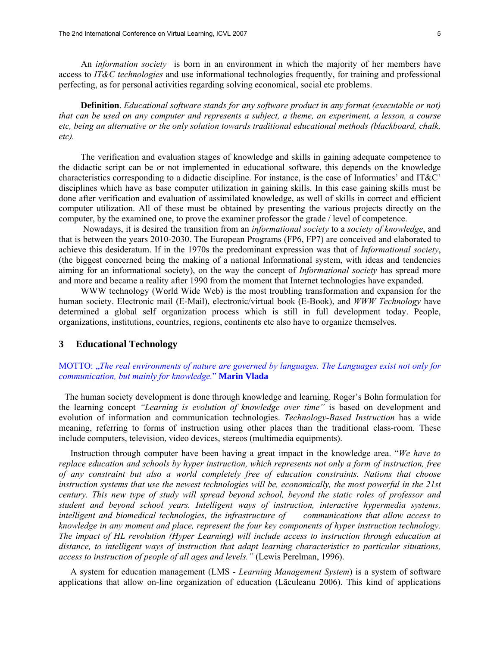An *information society* is born in an environment in which the majority of her members have access to *IT&C technologies* and use informational technologies frequently, for training and professional perfecting, as for personal activities regarding solving economical, social etc problems.

**Definition**. *Educational software stands for any software product in any format (executable or not) that can be used on any computer and represents a subject, a theme, an experiment, a lesson, a course etc, being an alternative or the only solution towards traditional educational methods (blackboard, chalk, etc).*

The verification and evaluation stages of knowledge and skills in gaining adequate competence to the didactic script can be or not implemented in educational software, this depends on the knowledge characteristics corresponding to a didactic discipline. For instance, is the case of Informatics' and IT&C' disciplines which have as base computer utilization in gaining skills. In this case gaining skills must be done after verification and evaluation of assimilated knowledge, as well of skills in correct and efficient computer utilization. All of these must be obtained by presenting the various projects directly on the computer, by the examined one, to prove the examiner professor the grade / level of competence.

 Nowadays, it is desired the transition from an *informational society* to a *society of knowledge*, and that is between the years 2010-2030. The European Programs (FP6, FP7) are conceived and elaborated to achieve this desideratum. If in the 1970s the predominant expression was that of *Informational society*, (the biggest concerned being the making of a national Informational system, with ideas and tendencies aiming for an informational society), on the way the concept of *Informational society* has spread more and more and became a reality after 1990 from the moment that Internet technologies have expanded.

WWW technology (World Wide Web) is the most troubling transformation and expansion for the human society. Electronic mail (E-Mail), electronic/virtual book (E-Book), and *WWW Technology* have determined a global self organization process which is still in full development today. People, organizations, institutions, countries, regions, continents etc also have to organize themselves.

#### **3 Educational Technology**

MOTTO: "*The real environments of nature are governed by languages. The Languages exist not only for communication, but mainly for knowledge.*" **Marin Vlada**

The human society development is done through knowledge and learning. Roger's Bohn formulation for the learning concept *"Learning is evolution of knowledge over time"* is based on development and evolution of information and communication technologies. *Technology-Based Instruction* has a wide meaning, referring to forms of instruction using other places than the traditional class-room. These include computers, television, video devices, stereos (multimedia equipments).

Instruction through computer have been having a great impact in the knowledge area. "*We have to replace education and schools by hyper instruction, which represents not only a form of instruction, free of any constraint but also a world completely free of education constraints. Nations that choose instruction systems that use the newest technologies will be, economically, the most powerful in the 21st century. This new type of study will spread beyond school, beyond the static roles of professor and student and beyond school years. Intelligent ways of instruction, interactive hypermedia systems, intelligent and biomedical technologies, the infrastructure of communications that allow access to knowledge in any moment and place, represent the four key components of hyper instruction technology. The impact of HL revolution (Hyper Learning) will include access to instruction through education at distance, to intelligent ways of instruction that adapt learning characteristics to particular situations, access to instruction of people of all ages and levels."* (Lewis Perelman, 1996).

A system for education management (LMS - *Learning Management System*) is a system of software applications that allow on-line organization of education (Lăculeanu 2006). This kind of applications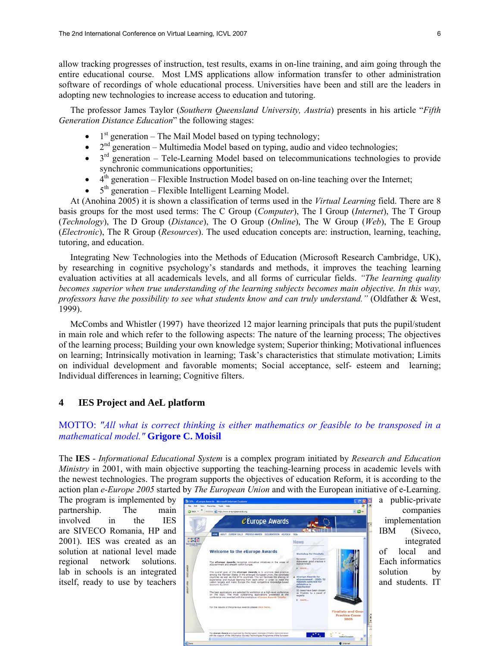allow tracking progresses of instruction, test results, exams in on-line training, and aim going through the entire educational course. Most LMS applications allow information transfer to other administration software of recordings of whole educational process. Universities have been and still are the leaders in adopting new technologies to increase access to education and tutoring.

The professor James Taylor (*Southern Queensland University, Austria*) presents in his article "*Fifth Generation Distance Education*" the following stages:

- 1<sup>st</sup> generation The Mail Model based on typing technology;
- generation Multimedia Model based on typing, audio and video technologies;
- $3<sup>rd</sup>$  generation Tele-Learning Model based on telecommunications technologies to provide synchronic communications opportunities;
- $\bullet$  4<sup>th</sup> generation Flexible Instruction Model based on on-line teaching over the Internet;
- $5<sup>th</sup>$  generation Flexible Intelligent Learning Model.

At (Anohina 2005) it is shown a classification of terms used in the *Virtual Learning* field. There are 8 basis groups for the most used terms: The C Group (*Computer*), The I Group (*Internet*), The T Group (*Technology*), The D Group (*Distance*), The O Group (*Online*), The W Group (*Web*), The E Group (*Electronic*), The R Group (*Resources*). The used education concepts are: instruction, learning, teaching, tutoring, and education.

Integrating New Technologies into the Methods of Education (Microsoft Research Cambridge, UK), by researching in cognitive psychology's standards and methods, it improves the teaching learning evaluation activities at all academicals levels, and all forms of curricular fields. *"The learning quality becomes superior when true understanding of the learning subjects becomes main objective. In this way, professors have the possibility to see what students know and can truly understand."* (Oldfather & West, 1999).

McCombs and Whistler (1997) have theorized 12 major learning principals that puts the pupil/student in main role and which refer to the following aspects: The nature of the learning process; The objectives of the learning process; Building your own knowledge system; Superior thinking; Motivational influences on learning; Intrinsically motivation in learning; Task's characteristics that stimulate motivation; Limits on individual development and favorable moments; Social acceptance, self- esteem and learning; Individual differences in learning; Cognitive filters.

## **4 IES Project and AeL platform**

# MOTTO: *"All what is correct thinking is either mathematics or feasible to be transposed in a mathematical model."* **Grigore C. Moisil**

The **IES** - *Informational Educational System* is a complex program initiated by *Research and Education Ministry* in 2001, with main objective supporting the teaching-learning process in academic levels with the newest technologies. The program supports the objectives of education Reform, it is according to the action plan *e-Europe 2005* started by *The European Union* and with the European initiative of e-Learning.

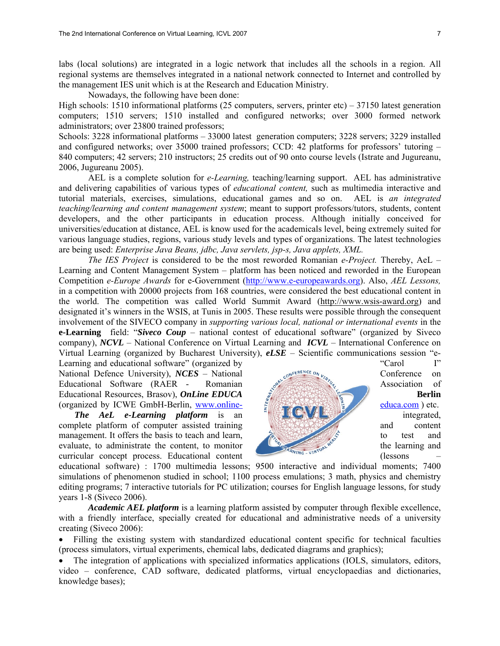labs (local solutions) are integrated in a logic network that includes all the schools in a region. All regional systems are themselves integrated in a national network connected to Internet and controlled by the management IES unit which is at the Research and Education Ministry.

Nowadays, the following have been done:

High schools: 1510 informational platforms (25 computers, servers, printer etc) – 37150 latest generation computers; 1510 servers; 1510 installed and configured networks; over 3000 formed network administrators; over 23800 trained professors;

Schools: 3228 informational platforms – 33000 latest generation computers; 3228 servers; 3229 installed and configured networks; over 35000 trained professors; CCD: 42 platforms for professors' tutoring – 840 computers; 42 servers; 210 instructors; 25 credits out of 90 onto course levels (Istrate and Jugureanu, 2006, Jugureanu 2005).

 AEL is a complete solution for *e-Learning,* teaching/learning support. AEL has administrative and delivering capabilities of various types of *educational content,* such as multimedia interactive and tutorial materials, exercises, simulations, educational games and so on. AEL is *an integrated teaching/learning and content management system*; meant to support professors/tutors, students, content developers, and the other participants in education process. Although initially conceived for universities/education at distance, AEL is know used for the academicals level, being extremely suited for various language studies, regions, various study levels and types of organizations. The latest technologies are being used: *Enterprise Java Beans, jdbc, Java servlets, jsp-s, Java applets, XML.* 

 *The IES Project* is considered to be the most reworded Romanian *e-Project.* Thereby, AeL – Learning and Content Management System – platform has been noticed and reworded in the European Competition *e-Europe Awards* for e-Government (http://www.e-europeawards.org). Also, *AEL Lessons,*  in a competition with 20000 projects from 168 countries, were considered the best educational content in the world. The competition was called World Summit Award (http://www.wsis-award.org) and designated it's winners in the WSIS, at Tunis in 2005. These results were possible through the consequent involvement of the SIVECO company in *supporting various local, national or international events* in the **e-Learning** field: "*Siveco Coup* – national contest of educational software" (organized by Siveco company), *NCVL* – National Conference on Virtual Learning and *ICVL* – International Conference on Virtual Learning (organized by Bucharest University), *eLSE* – Scientific communications session "e-

(organized by ICWE GmbH-Berlin, www.online- educa.com ) etc.

curricular concept process. Educational content (lessons –



educational software) : 1700 multimedia lessons; 9500 interactive and individual moments; 7400 simulations of phenomenon studied in school; 1100 process emulations; 3 math, physics and chemistry editing programs; 7 interactive tutorials for PC utilization; courses for English language lessons, for study years 1-8 (Siveco 2006).

*Academic AEL platform* is a learning platform assisted by computer through flexible excellence, with a friendly interface, specially created for educational and administrative needs of a university creating (Siveco 2006):

• Filling the existing system with standardized educational content specific for technical faculties (process simulators, virtual experiments, chemical labs, dedicated diagrams and graphics);

• The integration of applications with specialized informatics applications (IOLS, simulators, editors, video – conference, CAD software, dedicated platforms, virtual encyclopaedias and dictionaries, knowledge bases);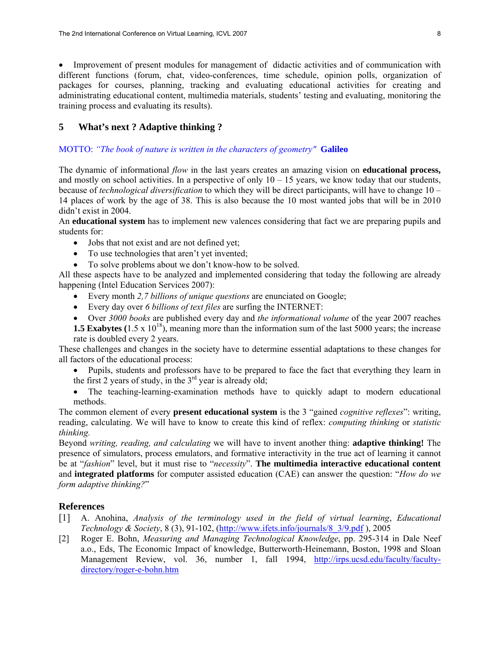• Improvement of present modules for management of didactic activities and of communication with different functions (forum, chat, video-conferences, time schedule, opinion polls, organization of packages for courses, planning, tracking and evaluating educational activities for creating and administrating educational content, multimedia materials, students' testing and evaluating, monitoring the training process and evaluating its results).

## **5 What's next ? Adaptive thinking ?**

## MOTTO: *"The book of nature is written in the characters of geometry"* **Galileo**

The dynamic of informational *flow* in the last years creates an amazing vision on **educational process,** and mostly on school activities. In a perspective of only  $10 - 15$  years, we know today that our students, because of *technological diversification* to which they will be direct participants, will have to change 10 – 14 places of work by the age of 38. This is also because the 10 most wanted jobs that will be in 2010 didn't exist in 2004.

An **educational system** has to implement new valences considering that fact we are preparing pupils and students for:

- Jobs that not exist and are not defined yet;
- To use technologies that aren't yet invented;
- To solve problems about we don't know-how to be solved.

All these aspects have to be analyzed and implemented considering that today the following are already happening (Intel Education Services 2007):

- Every month *2,7 billions of unique questions* are enunciated on Google;
- Every day over *6 billions of text files* are surfing the INTERNET:
- Over *3000 books* are published every day and *the informational volume* of the year 2007 reaches

**1.5 Exabytes** (1.5 x  $10^{18}$ ), meaning more than the information sum of the last 5000 years; the increase rate is doubled every 2 years.

These challenges and changes in the society have to determine essential adaptations to these changes for all factors of the educational process:

- Pupils, students and professors have to be prepared to face the fact that everything they learn in the first 2 years of study, in the  $3<sup>rd</sup>$  year is already old;
- The teaching-learning-examination methods have to quickly adapt to modern educational methods.

The common element of every **present educational system** is the 3 "gained *cognitive reflexes*": writing, reading, calculating. We will have to know to create this kind of reflex: *computing thinking* or *statistic thinking.* 

Beyond *writing, reading, and calculating* we will have to invent another thing: **adaptive thinking!** The presence of simulators, process emulators, and formative interactivity in the true act of learning it cannot be at "*fashion*" level, but it must rise to "*necessity*". **The multimedia interactive educational content**  and **integrated platforms** for computer assisted education (CAE) can answer the question: "*How do we form adaptive thinking?*"

# **References**

- [1] A. Anohina, *Analysis of the terminology used in the field of virtual learning*, *Educational Technology & Society*, 8 (3), 91-102, (http://www.ifets.info/journals/8\_3/9.pdf ), 2005
- [2] Roger E. Bohn, *Measuring and Managing Technological Knowledge*, pp. 295-314 in Dale Neef a.o., Eds, The Economic Impact of knowledge, Butterworth-Heinemann, Boston, 1998 and Sloan Management Review, vol. 36, number 1, fall 1994, http://irps.ucsd.edu/faculty/facultydirectory/roger-e-bohn.htm